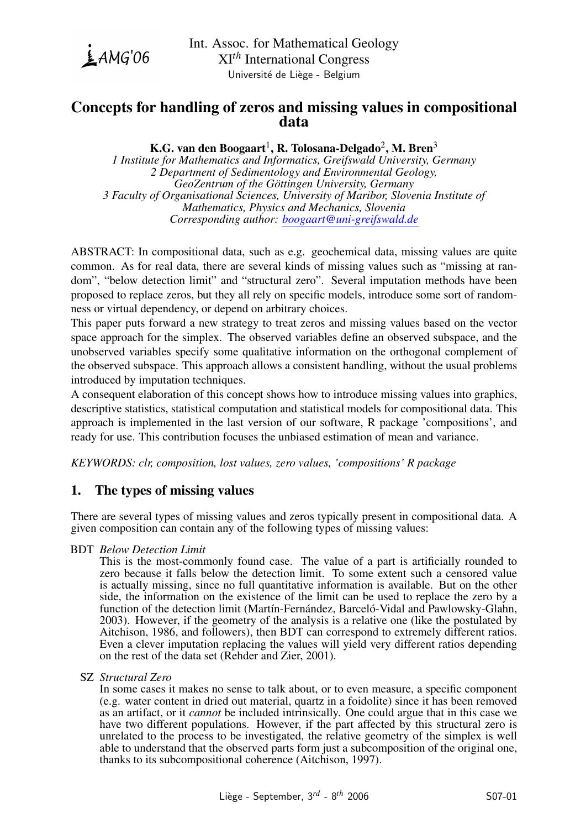

# Concepts for handling of zeros and missing values in compositional data

# K.G. van den Boogaart $^1$ , R. Tolosana-Delgado $^2$ , M. Bren $^3$

*1 Institute for Mathematics and Informatics, Greifswald University, Germany 2 Department of Sedimentology and Environmental Geology, GeoZentrum of the Gottingen University, Germany ¨ 3 Faculty of Organisational Sciences, University of Maribor, Slovenia Institute of Mathematics, Physics and Mechanics, Slovenia Corresponding author: [boogaart@uni-greifswald.de](mailto:boogaart@uni-greifswald.de)*

ABSTRACT: In compositional data, such as e.g. geochemical data, missing values are quite common. As for real data, there are several kinds of missing values such as "missing at random", "below detection limit" and "structural zero". Several imputation methods have been proposed to replace zeros, but they all rely on specific models, introduce some sort of randomness or virtual dependency, or depend on arbitrary choices.

This paper puts forward a new strategy to treat zeros and missing values based on the vector space approach for the simplex. The observed variables define an observed subspace, and the unobserved variables specify some qualitative information on the orthogonal complement of the observed subspace. This approach allows a consistent handling, without the usual problems introduced by imputation techniques.

A consequent elaboration of this concept shows how to introduce missing values into graphics, descriptive statistics, statistical computation and statistical models for compositional data. This approach is implemented in the last version of our software, R package 'compositions', and ready for use. This contribution focuses the unbiased estimation of mean and variance.

*KEYWORDS: clr, composition, lost values, zero values, 'compositions' R package*

# 1. The types of missing values

There are several types of missing values and zeros typically present in compositional data. A given composition can contain any of the following types of missing values:

## BDT *Below Detection Limit*

This is the most-commonly found case. The value of a part is artificially rounded to zero because it falls below the detection limit. To some extent such a censored value is actually missing, since no full quantitative information is available. But on the other side, the information on the existence of the limit can be used to replace the zero by a function of the detection limit (Martín-Fernández, Barceló-Vidal and Pawlowsky-Glahn, 2003). However, if the geometry of the analysis is a relative one (like the postulated by Aitchison, 1986, and followers), then BDT can correspond to extremely different ratios. Even a clever imputation replacing the values will yield very different ratios depending on the rest of the data set (Rehder and Zier, 2001).

### SZ *Structural Zero*

In some cases it makes no sense to talk about, or to even measure, a specific component (e.g. water content in dried out material, quartz in a foidolite) since it has been removed as an artifact, or it *cannot* be included intrinsically. One could argue that in this case we have two different populations. However, if the part affected by this structural zero is unrelated to the process to be investigated, the relative geometry of the simplex is well able to understand that the observed parts form just a subcomposition of the original one, thanks to its subcompositional coherence (Aitchison, 1997).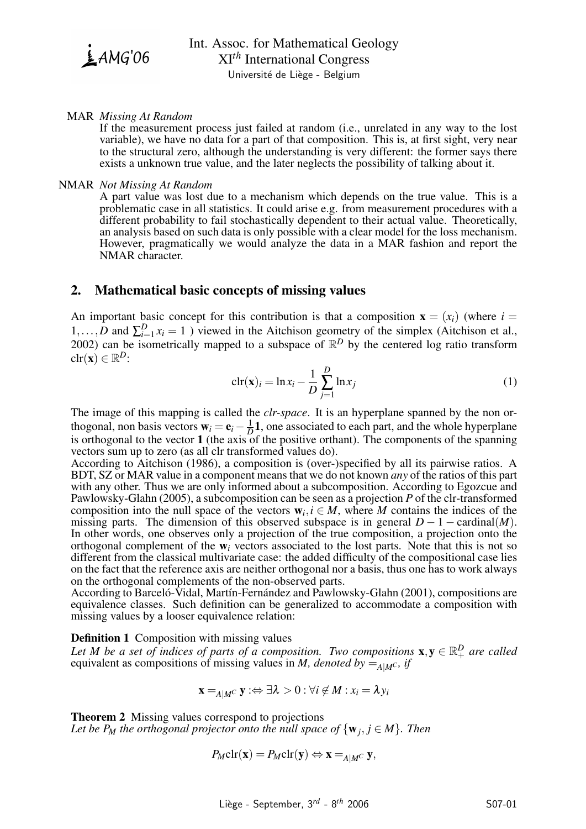$$
\underline{\underline{\mathbf{i}}} AMG'06
$$

### MAR *Missing At Random*

If the measurement process just failed at random (i.e., unrelated in any way to the lost variable), we have no data for a part of that composition. This is, at first sight, very near to the structural zero, although the understanding is very different: the former says there exists a unknown true value, and the later neglects the possibility of talking about it.

#### NMAR *Not Missing At Random*

A part value was lost due to a mechanism which depends on the true value. This is a problematic case in all statistics. It could arise e.g. from measurement procedures with a different probability to fail stochastically dependent to their actual value. Theoretically, an analysis based on such data is only possible with a clear model for the loss mechanism. However, pragmatically we would analyze the data in a MAR fashion and report the NMAR character.

## 2. Mathematical basic concepts of missing values

An important basic concept for this contribution is that a composition  $\mathbf{x} = (x_i)$  (where  $i =$ 1,...,*D* and  $\sum_{i=1}^{D} x_i = 1$ ) viewed in the Aitchison geometry of the simplex (Aitchison et al., 2002) can be isometrically mapped to a subspace of  $\mathbb{R}^D$  by the centered log ratio transform  $\text{clr}(\mathbf{x}) \in \mathbb{R}^D$ :

<span id="page-1-0"></span>
$$
\operatorname{clr}(\mathbf{x})_i = \ln x_i - \frac{1}{D} \sum_{j=1}^{D} \ln x_j \tag{1}
$$

The image of this mapping is called the *clr-space*. It is an hyperplane spanned by the non orthogonal, non basis vectors  $\mathbf{w}_i = \mathbf{e}_i - \frac{1}{L}$  $\frac{1}{D}$ **1**, one associated to each part, and the whole hyperplane is orthogonal to the vector 1 (the axis of the positive orthant). The components of the spanning vectors sum up to zero (as all clr transformed values do).

According to Aitchison (1986), a composition is (over-)specified by all its pairwise ratios. A BDT, SZ or MAR value in a component means that we do not known *any* of the ratios of this part with any other. Thus we are only informed about a subcomposition. According to Egozcue and Pawlowsky-Glahn (2005), a subcomposition can be seen as a projection *P* of the clr-transformed composition into the null space of the vectors  $w_i, i \in M$ , where *M* contains the indices of the missing parts. The dimension of this observed subspace is in general  $D - 1 - \text{cardinal}(M)$ . In other words, one observes only a projection of the true composition, a projection onto the orthogonal complement of the w*<sup>i</sup>* vectors associated to the lost parts. Note that this is not so different from the classical multivariate case: the added difficulty of the compositional case lies on the fact that the reference axis are neither orthogonal nor a basis, thus one has to work always on the orthogonal complements of the non-observed parts.

According to Barceló-Vidal, Martín-Fernández and Pawlowsky-Glahn (2001), compositions are equivalence classes. Such definition can be generalized to accommodate a composition with missing values by a looser equivalence relation:

### Definition 1 Composition with missing values

Let M be a set of indices of parts of a composition. Two compositions  $\mathbf{x}, \mathbf{y} \in \mathbb{R}_+^D$  are called equivalent as compositions of missing values in *M, denoted by*  $=_{A/M^C}$ *if* 

$$
\mathbf{x} =_{A|M^C} \mathbf{y} : \Leftrightarrow \exists \lambda > 0 : \forall i \notin M : x_i = \lambda y_i
$$

Theorem 2 Missing values correspond to projections *Let be P<sub>M</sub> the orthogonal projector onto the null space of*  $\{w_j, j \in M\}$ *. Then* 

$$
P_M \text{clr}(\mathbf{x}) = P_M \text{clr}(\mathbf{y}) \Leftrightarrow \mathbf{x} =_{A|M^C} \mathbf{y},
$$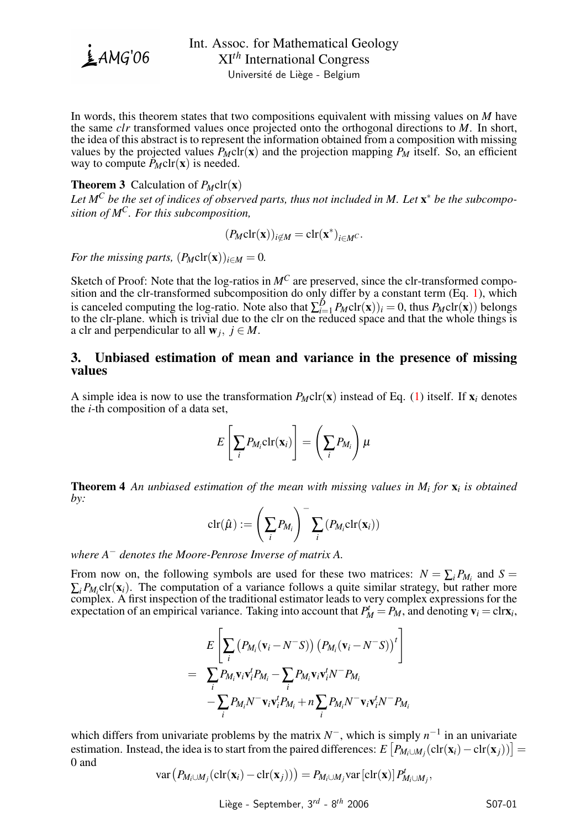

Université de Liège - Belgium

In words, this theorem states that two compositions equivalent with missing values on *M* have the same *clr* transformed values once projected onto the orthogonal directions to *M*. In short, the idea of this abstract is to represent the information obtained from a composition with missing values by the projected values  $P_M \text{clr}(\mathbf{x})$  and the projection mapping  $P_M$  itself. So, an efficient way to compute  $\tilde{P}_M \text{clr}(\mathbf{x})$  is needed.

## **Theorem 3** Calculation of  $P_M \text{clr}(\mathbf{x})$

*Let M<sup>C</sup> be the set of indices of observed parts, thus not included in M. Let* x <sup>∗</sup> *be the subcomposition of MC. For this subcomposition,*

$$
(P_M \mathrm{clr}(\mathbf{x}))_{i \notin M} = \mathrm{clr}(\mathbf{x}^*)_{i \in M^C}.
$$

*For the missing parts,*  $(P_M \text{clr}(\mathbf{x}))_{i \in M} = 0$ .

Sketch of Proof: Note that the log-ratios in  $M^C$  are preserved, since the clr-transformed composition and the clr-transformed subcomposition do only differ by a constant term (Eq. [1\)](#page-1-0), which is canceled computing the log-ratio. Note also that  $\sum_{i=1}^{D} P_M \text{clr}(\mathbf{x})$ *i* = 0, thus  $P_M \text{clr}(\mathbf{x})$ *i* belongs to the clr-plane. which is trivial due to the clr on the reduced space and that the whole things is a clr and perpendicular to all  $w_j$ ,  $j \in M$ .

## 3. Unbiased estimation of mean and variance in the presence of missing values

A simple idea is now to use the transformation  $P_M \text{clr}(\mathbf{x})$  instead of Eq. [\(1\)](#page-1-0) itself. If  $\mathbf{x}_i$  denotes the *i*-th composition of a data set,

$$
E\left[\sum_i P_{M_i} \text{clr}(\mathbf{x}_i)\right] = \left(\sum_i P_{M_i}\right) \mu
$$

Theorem 4 *An unbiased estimation of the mean with missing values in M<sup>i</sup> for* x*<sup>i</sup> is obtained by:*

$$
\mathrm{clr}(\hat{\mu}) := \left(\sum_i P_{M_i}\right)^{-1} \sum_i \left(P_{M_i} \mathrm{clr}(\mathbf{x}_i)\right)
$$

*where A*<sup>−</sup> *denotes the Moore-Penrose Inverse of matrix A.*

From now on, the following symbols are used for these two matrices:  $N = \sum_i P_{M_i}$  and  $S =$  $\sum_i P_{M_i}$ clr( $\mathbf{x}_i$ ). The computation of a variance follows a quite similar strategy, but rather more complex. A first inspection of the traditional estimator leads to very complex expressions for the expectation of an empirical variance. Taking into account that  $P_M^t = P_M$ , and denoting  $\mathbf{v}_i = \text{clr}\mathbf{x}_i$ ,

$$
E\left[\sum_{i}\left(P_{M_i}(\mathbf{v}_i - N^-S)\right)\left(P_{M_i}(\mathbf{v}_i - N^-S)\right)^t\right]
$$
  
= 
$$
\sum_{i} P_{M_i} \mathbf{v}_i \mathbf{v}_i^t P_{M_i} - \sum_{i} P_{M_i} \mathbf{v}_i \mathbf{v}_i^t N^- P_{M_i}
$$
  
-
$$
\sum_{i} P_{M_i} N^- \mathbf{v}_i \mathbf{v}_i^t P_{M_i} + n \sum_{i} P_{M_i} N^- \mathbf{v}_i \mathbf{v}_i^t N^- P_{M_i}
$$

which differs from univariate problems by the matrix  $N^-$ , which is simply  $n^{-1}$  in an univariate estimation. Instead, the idea is to start from the paired differences:  $E[P_{M_i\cup M_j}(\text{clr}(\mathbf{x}_i)-\text{clr}(\mathbf{x}_j))] =$ 0 and

$$
\text{var}\left(P_{M_i \cup M_j}(\text{clr}(\mathbf{x}_i) - \text{clr}(\mathbf{x}_j))\right) = P_{M_i \cup M_j} \text{var}\left[\text{clr}(\mathbf{x})\right] P_{M_i \cup M_j}^t,
$$